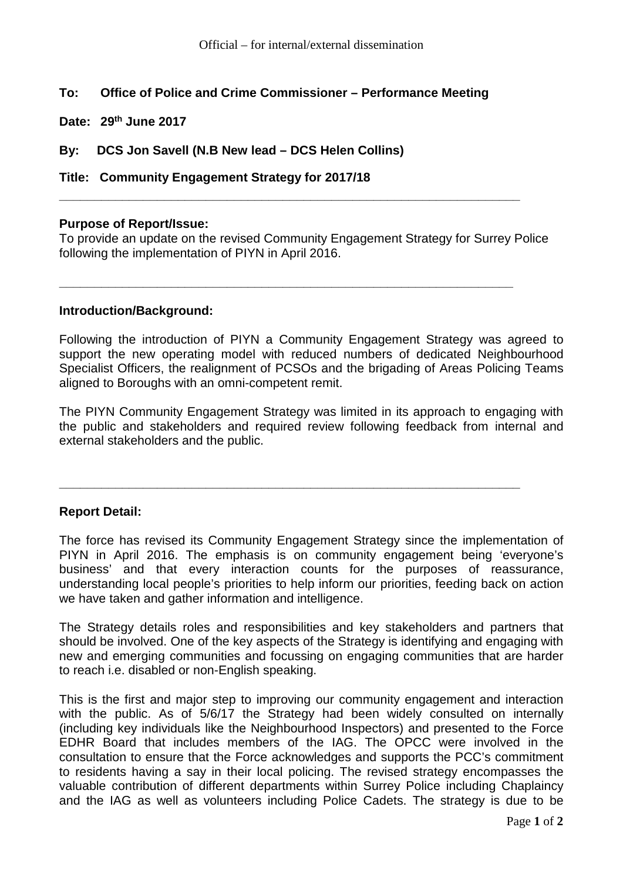# **To: Office of Police and Crime Commissioner – Performance Meeting**

**Date: 29th June 2017**

**By: DCS Jon Savell (N.B New lead – DCS Helen Collins)**

**Title: Community Engagement Strategy for 2017/18** 

### **Purpose of Report/Issue:**

To provide an update on the revised Community Engagement Strategy for Surrey Police following the implementation of PIYN in April 2016.

**\_\_\_\_\_\_\_\_\_\_\_\_\_\_\_\_\_\_\_\_\_\_\_\_\_\_\_\_\_\_\_\_\_\_\_\_\_\_\_\_\_\_\_\_\_\_\_\_\_\_\_\_\_\_\_\_\_\_\_\_\_\_\_\_\_\_**

**\_\_\_\_\_\_\_\_\_\_\_\_\_\_\_\_\_\_\_\_\_\_\_\_\_\_\_\_\_\_\_\_\_\_\_\_\_\_\_\_\_\_\_\_\_\_\_\_\_\_\_\_\_\_\_\_\_\_\_\_\_\_\_\_\_**

### **Introduction/Background:**

Following the introduction of PIYN a Community Engagement Strategy was agreed to support the new operating model with reduced numbers of dedicated Neighbourhood Specialist Officers, the realignment of PCSOs and the brigading of Areas Policing Teams aligned to Boroughs with an omni-competent remit.

The PIYN Community Engagement Strategy was limited in its approach to engaging with the public and stakeholders and required review following feedback from internal and external stakeholders and the public.

**\_\_\_\_\_\_\_\_\_\_\_\_\_\_\_\_\_\_\_\_\_\_\_\_\_\_\_\_\_\_\_\_\_\_\_\_\_\_\_\_\_\_\_\_\_\_\_\_\_\_\_\_\_\_\_\_\_\_\_\_\_\_\_\_\_\_**

# **Report Detail:**

The force has revised its Community Engagement Strategy since the implementation of PIYN in April 2016. The emphasis is on community engagement being 'everyone's business' and that every interaction counts for the purposes of reassurance, understanding local people's priorities to help inform our priorities, feeding back on action we have taken and gather information and intelligence.

The Strategy details roles and responsibilities and key stakeholders and partners that should be involved. One of the key aspects of the Strategy is identifying and engaging with new and emerging communities and focussing on engaging communities that are harder to reach i.e. disabled or non-English speaking.

This is the first and major step to improving our community engagement and interaction with the public. As of 5/6/17 the Strategy had been widely consulted on internally (including key individuals like the Neighbourhood Inspectors) and presented to the Force EDHR Board that includes members of the IAG. The OPCC were involved in the consultation to ensure that the Force acknowledges and supports the PCC's commitment to residents having a say in their local policing. The revised strategy encompasses the valuable contribution of different departments within Surrey Police including Chaplaincy and the IAG as well as volunteers including Police Cadets. The strategy is due to be